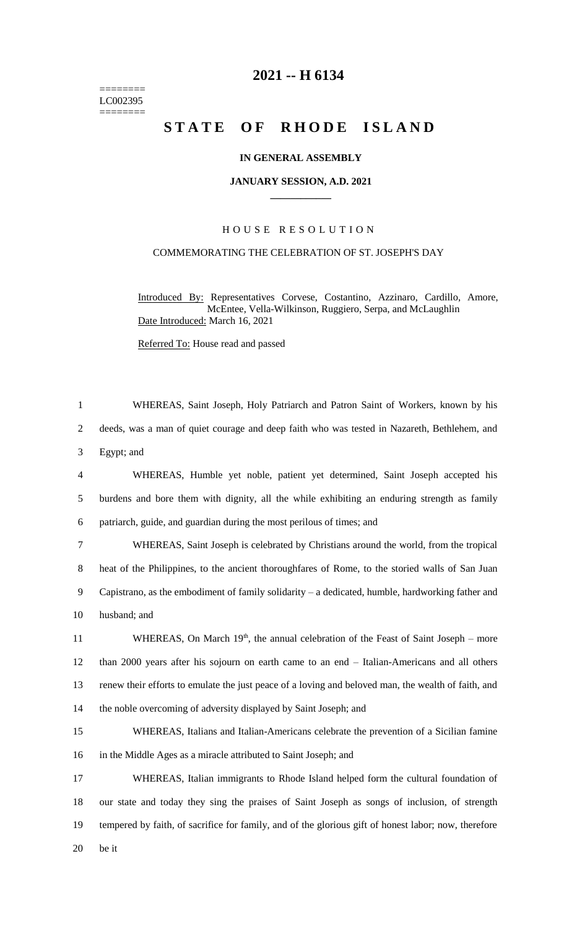======== LC002395 ========

# **2021 -- H 6134**

# **STATE OF RHODE ISLAND**

# **IN GENERAL ASSEMBLY**

#### **JANUARY SESSION, A.D. 2021 \_\_\_\_\_\_\_\_\_\_\_\_**

# H O U S E R E S O L U T I O N

# COMMEMORATING THE CELEBRATION OF ST. JOSEPH'S DAY

Introduced By: Representatives Corvese, Costantino, Azzinaro, Cardillo, Amore, McEntee, Vella-Wilkinson, Ruggiero, Serpa, and McLaughlin Date Introduced: March 16, 2021

# Referred To: House read and passed

 WHEREAS, Saint Joseph, Holy Patriarch and Patron Saint of Workers, known by his deeds, was a man of quiet courage and deep faith who was tested in Nazareth, Bethlehem, and Egypt; and WHEREAS, Humble yet noble, patient yet determined, Saint Joseph accepted his

5 burdens and bore them with dignity, all the while exhibiting an enduring strength as family 6 patriarch, guide, and guardian during the most perilous of times; and

 WHEREAS, Saint Joseph is celebrated by Christians around the world, from the tropical heat of the Philippines, to the ancient thoroughfares of Rome, to the storied walls of San Juan Capistrano, as the embodiment of family solidarity – a dedicated, humble, hardworking father and husband; and

11 WHEREAS, On March 19<sup>th</sup>, the annual celebration of the Feast of Saint Joseph – more than 2000 years after his sojourn on earth came to an end – Italian-Americans and all others renew their efforts to emulate the just peace of a loving and beloved man, the wealth of faith, and the noble overcoming of adversity displayed by Saint Joseph; and

15 WHEREAS, Italians and Italian-Americans celebrate the prevention of a Sicilian famine 16 in the Middle Ages as a miracle attributed to Saint Joseph; and

 WHEREAS, Italian immigrants to Rhode Island helped form the cultural foundation of our state and today they sing the praises of Saint Joseph as songs of inclusion, of strength tempered by faith, of sacrifice for family, and of the glorious gift of honest labor; now, therefore 20 be it